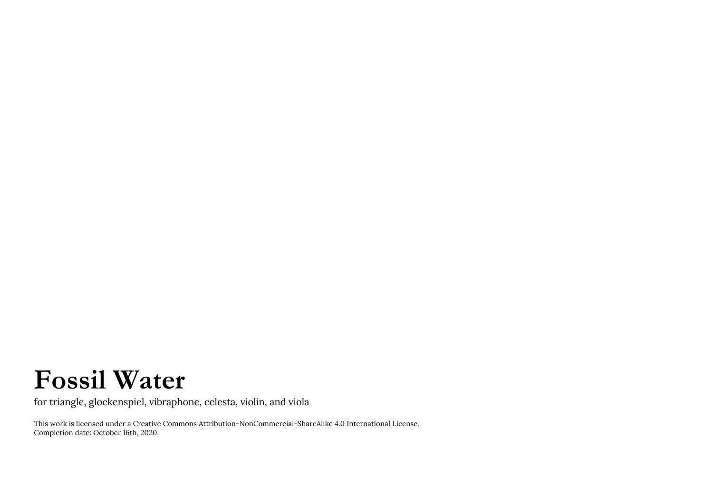## **Fossil Water**

for triangle, glockenspiel, vibraphone, celesta, violin, and viola

This work is licensed under a Creative Commons Attribution-NonCommercial-ShareAlike 4.0 International License. Completion date: October 16th, 2020.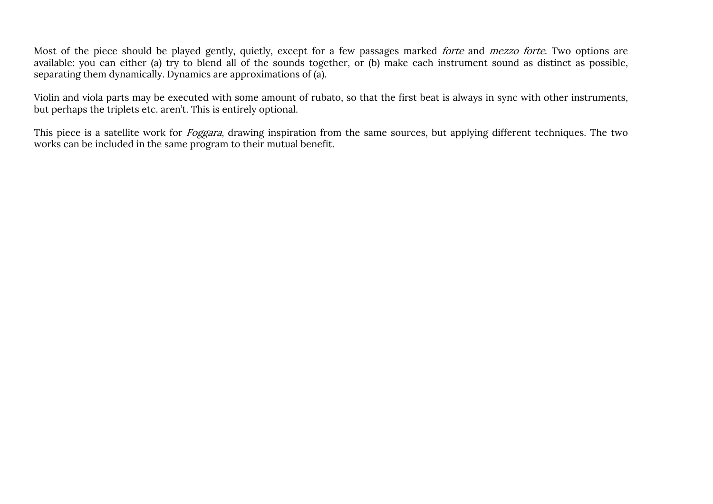Most of the piece should be played gently, quietly, except for a few passages marked forte and mezzo forte. Two options are available: you can either (a) try to blend all of the sounds together, or (b) make each instrument sound as distinct as possible, separating them dynamically. Dynamics are approximations of (a).

This piece is a satellite work for *Foggara*, drawing inspiration from the same sources, but applying different techniques. The two works can be included in the same program to their mutual benefit.

Violin and viola parts may be executed with some amount of rubato, so that the first beat is always in sync with other instruments, but perhaps the triplets etc. aren't. This is entirely optional.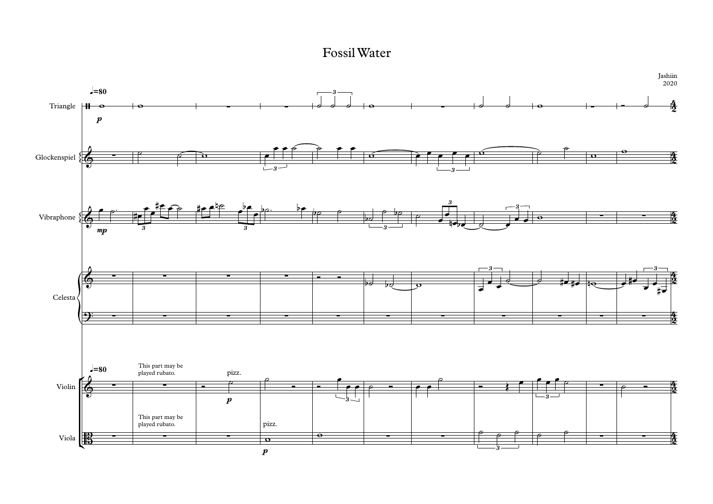## Fossil Water



 $\boldsymbol{p}$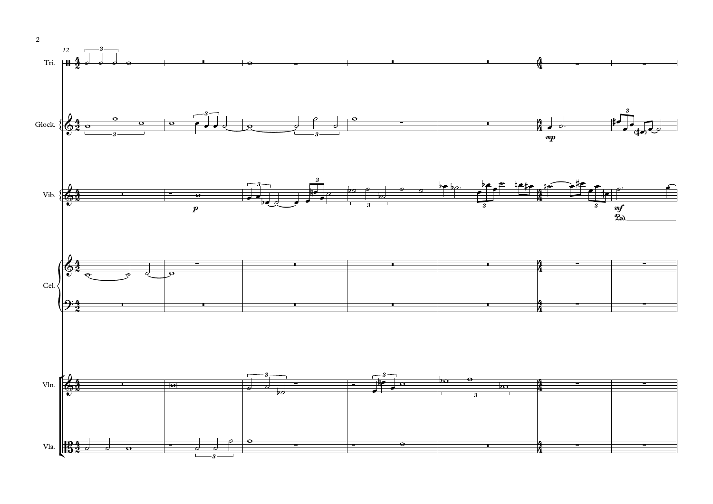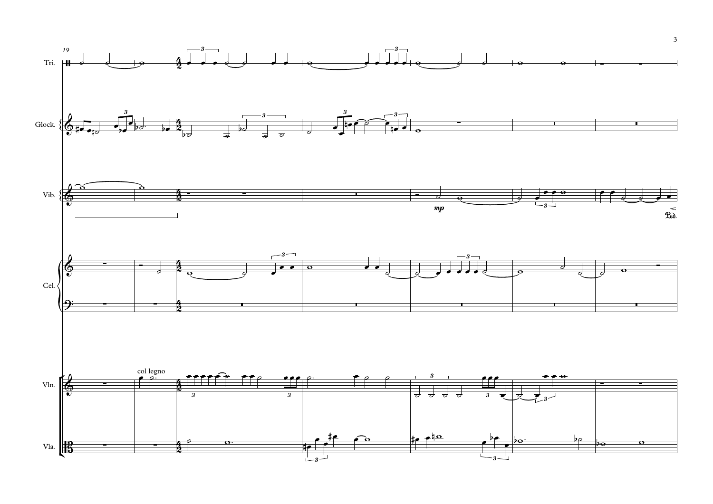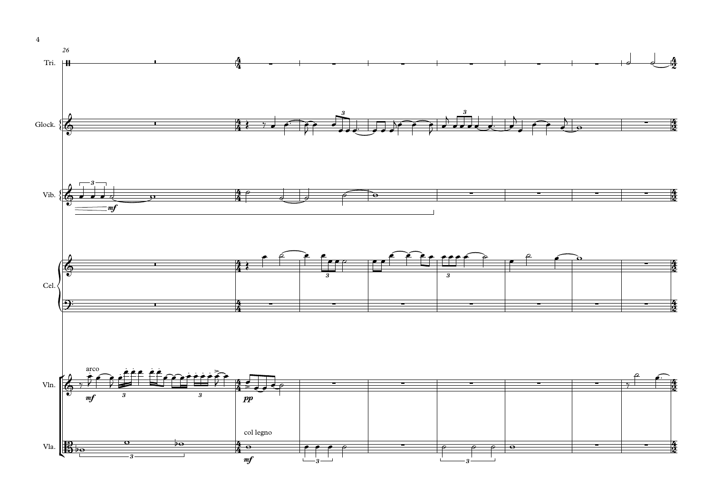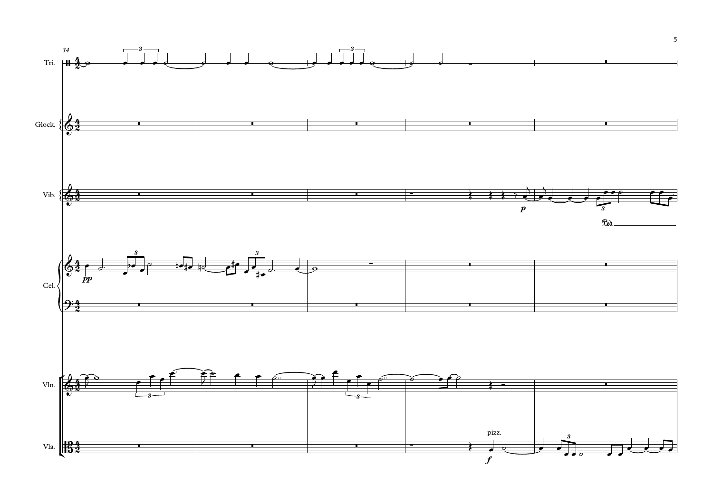